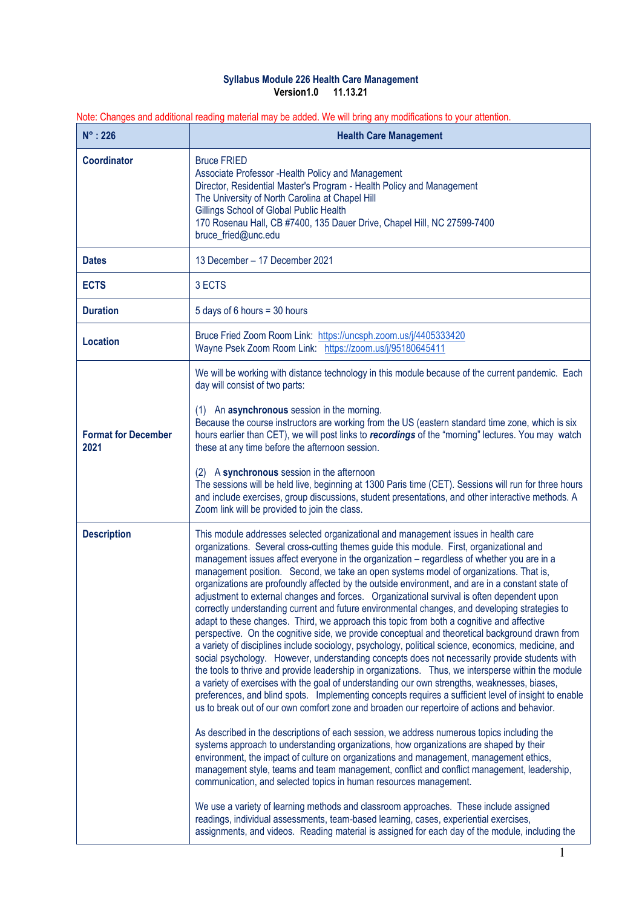## **Syllabus Module 226 Health Care Management Version1.0 11.13.21**

Note: Changes and additional reading material may be added. We will bring any modifications to your attention.

| $N^\circ$ : 226                    | <b>Health Care Management</b>                                                                                                                                                                                                                                                                                                                                                                                                                                                                                                                                                                                                                                                                                                                                                                                                                                                                                                                                                                                                                                                                                                                                                                                                                                                                                                                                                                                                                                                                                                                                                                                                                                                                                                                                                                                                                                                                                                                                                                                                                                                                                                                                                                                                             |
|------------------------------------|-------------------------------------------------------------------------------------------------------------------------------------------------------------------------------------------------------------------------------------------------------------------------------------------------------------------------------------------------------------------------------------------------------------------------------------------------------------------------------------------------------------------------------------------------------------------------------------------------------------------------------------------------------------------------------------------------------------------------------------------------------------------------------------------------------------------------------------------------------------------------------------------------------------------------------------------------------------------------------------------------------------------------------------------------------------------------------------------------------------------------------------------------------------------------------------------------------------------------------------------------------------------------------------------------------------------------------------------------------------------------------------------------------------------------------------------------------------------------------------------------------------------------------------------------------------------------------------------------------------------------------------------------------------------------------------------------------------------------------------------------------------------------------------------------------------------------------------------------------------------------------------------------------------------------------------------------------------------------------------------------------------------------------------------------------------------------------------------------------------------------------------------------------------------------------------------------------------------------------------------|
| <b>Coordinator</b>                 | <b>Bruce FRIED</b><br>Associate Professor - Health Policy and Management<br>Director, Residential Master's Program - Health Policy and Management<br>The University of North Carolina at Chapel Hill<br>Gillings School of Global Public Health<br>170 Rosenau Hall, CB #7400, 135 Dauer Drive, Chapel Hill, NC 27599-7400<br>bruce_fried@unc.edu                                                                                                                                                                                                                                                                                                                                                                                                                                                                                                                                                                                                                                                                                                                                                                                                                                                                                                                                                                                                                                                                                                                                                                                                                                                                                                                                                                                                                                                                                                                                                                                                                                                                                                                                                                                                                                                                                         |
| <b>Dates</b>                       | 13 December - 17 December 2021                                                                                                                                                                                                                                                                                                                                                                                                                                                                                                                                                                                                                                                                                                                                                                                                                                                                                                                                                                                                                                                                                                                                                                                                                                                                                                                                                                                                                                                                                                                                                                                                                                                                                                                                                                                                                                                                                                                                                                                                                                                                                                                                                                                                            |
| <b>ECTS</b>                        | 3 ECTS                                                                                                                                                                                                                                                                                                                                                                                                                                                                                                                                                                                                                                                                                                                                                                                                                                                                                                                                                                                                                                                                                                                                                                                                                                                                                                                                                                                                                                                                                                                                                                                                                                                                                                                                                                                                                                                                                                                                                                                                                                                                                                                                                                                                                                    |
| <b>Duration</b>                    | 5 days of 6 hours = 30 hours                                                                                                                                                                                                                                                                                                                                                                                                                                                                                                                                                                                                                                                                                                                                                                                                                                                                                                                                                                                                                                                                                                                                                                                                                                                                                                                                                                                                                                                                                                                                                                                                                                                                                                                                                                                                                                                                                                                                                                                                                                                                                                                                                                                                              |
| <b>Location</b>                    | Bruce Fried Zoom Room Link: https://uncsph.zoom.us/j/4405333420<br>Wayne Psek Zoom Room Link: https://zoom.us/j/95180645411                                                                                                                                                                                                                                                                                                                                                                                                                                                                                                                                                                                                                                                                                                                                                                                                                                                                                                                                                                                                                                                                                                                                                                                                                                                                                                                                                                                                                                                                                                                                                                                                                                                                                                                                                                                                                                                                                                                                                                                                                                                                                                               |
| <b>Format for December</b><br>2021 | We will be working with distance technology in this module because of the current pandemic. Each<br>day will consist of two parts:<br>(1) An asynchronous session in the morning.<br>Because the course instructors are working from the US (eastern standard time zone, which is six<br>hours earlier than CET), we will post links to recordings of the "morning" lectures. You may watch<br>these at any time before the afternoon session.<br>A synchronous session in the afternoon<br>(2)<br>The sessions will be held live, beginning at 1300 Paris time (CET). Sessions will run for three hours<br>and include exercises, group discussions, student presentations, and other interactive methods. A<br>Zoom link will be provided to join the class.                                                                                                                                                                                                                                                                                                                                                                                                                                                                                                                                                                                                                                                                                                                                                                                                                                                                                                                                                                                                                                                                                                                                                                                                                                                                                                                                                                                                                                                                            |
| <b>Description</b>                 | This module addresses selected organizational and management issues in health care<br>organizations. Several cross-cutting themes guide this module. First, organizational and<br>management issues affect everyone in the organization - regardless of whether you are in a<br>management position. Second, we take an open systems model of organizations. That is,<br>organizations are profoundly affected by the outside environment, and are in a constant state of<br>adjustment to external changes and forces. Organizational survival is often dependent upon<br>correctly understanding current and future environmental changes, and developing strategies to<br>adapt to these changes. Third, we approach this topic from both a cognitive and affective<br>perspective. On the cognitive side, we provide conceptual and theoretical background drawn from<br>a variety of disciplines include sociology, psychology, political science, economics, medicine, and<br>social psychology. However, understanding concepts does not necessarily provide students with<br>the tools to thrive and provide leadership in organizations. Thus, we intersperse within the module<br>a variety of exercises with the goal of understanding our own strengths, weaknesses, biases,<br>preferences, and blind spots. Implementing concepts requires a sufficient level of insight to enable<br>us to break out of our own comfort zone and broaden our repertoire of actions and behavior.<br>As described in the descriptions of each session, we address numerous topics including the<br>systems approach to understanding organizations, how organizations are shaped by their<br>environment, the impact of culture on organizations and management, management ethics,<br>management style, teams and team management, conflict and conflict management, leadership,<br>communication, and selected topics in human resources management.<br>We use a variety of learning methods and classroom approaches. These include assigned<br>readings, individual assessments, team-based learning, cases, experiential exercises,<br>assignments, and videos. Reading material is assigned for each day of the module, including the |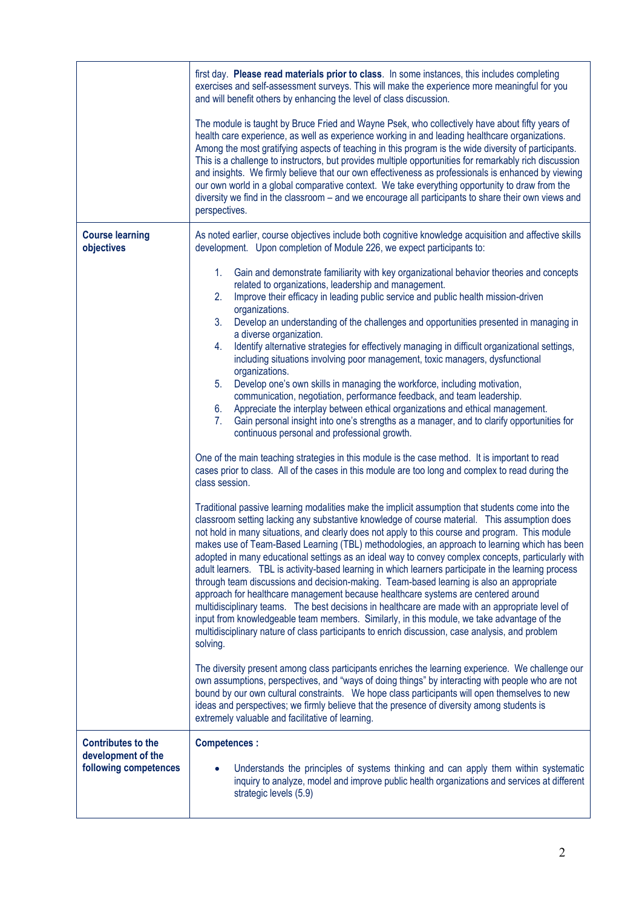|                                                                          | first day. Please read materials prior to class. In some instances, this includes completing<br>exercises and self-assessment surveys. This will make the experience more meaningful for you<br>and will benefit others by enhancing the level of class discussion.                                                                                                                                                                                                                                                                                                                                                                                                                                                                                                                                                                                                                                                                                                                                                                                                                                                |
|--------------------------------------------------------------------------|--------------------------------------------------------------------------------------------------------------------------------------------------------------------------------------------------------------------------------------------------------------------------------------------------------------------------------------------------------------------------------------------------------------------------------------------------------------------------------------------------------------------------------------------------------------------------------------------------------------------------------------------------------------------------------------------------------------------------------------------------------------------------------------------------------------------------------------------------------------------------------------------------------------------------------------------------------------------------------------------------------------------------------------------------------------------------------------------------------------------|
|                                                                          | The module is taught by Bruce Fried and Wayne Psek, who collectively have about fifty years of<br>health care experience, as well as experience working in and leading healthcare organizations.<br>Among the most gratifying aspects of teaching in this program is the wide diversity of participants.<br>This is a challenge to instructors, but provides multiple opportunities for remarkably rich discussion<br>and insights. We firmly believe that our own effectiveness as professionals is enhanced by viewing<br>our own world in a global comparative context. We take everything opportunity to draw from the<br>diversity we find in the classroom - and we encourage all participants to share their own views and<br>perspectives.                                                                                                                                                                                                                                                                                                                                                                 |
| <b>Course learning</b><br>objectives                                     | As noted earlier, course objectives include both cognitive knowledge acquisition and affective skills<br>development. Upon completion of Module 226, we expect participants to:                                                                                                                                                                                                                                                                                                                                                                                                                                                                                                                                                                                                                                                                                                                                                                                                                                                                                                                                    |
|                                                                          | 1.<br>Gain and demonstrate familiarity with key organizational behavior theories and concepts<br>related to organizations, leadership and management.<br>Improve their efficacy in leading public service and public health mission-driven<br>2.<br>organizations.<br>Develop an understanding of the challenges and opportunities presented in managing in<br>3.<br>a diverse organization.<br>Identify alternative strategies for effectively managing in difficult organizational settings,<br>4.                                                                                                                                                                                                                                                                                                                                                                                                                                                                                                                                                                                                               |
|                                                                          | including situations involving poor management, toxic managers, dysfunctional<br>organizations.<br>Develop one's own skills in managing the workforce, including motivation,<br>5.<br>communication, negotiation, performance feedback, and team leadership.<br>Appreciate the interplay between ethical organizations and ethical management.<br>6.<br>Gain personal insight into one's strengths as a manager, and to clarify opportunities for<br>7.<br>continuous personal and professional growth.                                                                                                                                                                                                                                                                                                                                                                                                                                                                                                                                                                                                            |
|                                                                          | One of the main teaching strategies in this module is the case method. It is important to read<br>cases prior to class. All of the cases in this module are too long and complex to read during the<br>class session.                                                                                                                                                                                                                                                                                                                                                                                                                                                                                                                                                                                                                                                                                                                                                                                                                                                                                              |
|                                                                          | Traditional passive learning modalities make the implicit assumption that students come into the<br>classroom setting lacking any substantive knowledge of course material. This assumption does<br>not hold in many situations, and clearly does not apply to this course and program. This module<br>makes use of Team-Based Learning (TBL) methodologies, an approach to learning which has been<br>adopted in many educational settings as an ideal way to convey complex concepts, particularly with<br>adult learners. TBL is activity-based learning in which learners participate in the learning process<br>through team discussions and decision-making. Team-based learning is also an appropriate<br>approach for healthcare management because healthcare systems are centered around<br>multidisciplinary teams. The best decisions in healthcare are made with an appropriate level of<br>input from knowledgeable team members. Similarly, in this module, we take advantage of the<br>multidisciplinary nature of class participants to enrich discussion, case analysis, and problem<br>solving. |
|                                                                          | The diversity present among class participants enriches the learning experience. We challenge our<br>own assumptions, perspectives, and "ways of doing things" by interacting with people who are not<br>bound by our own cultural constraints. We hope class participants will open themselves to new<br>ideas and perspectives; we firmly believe that the presence of diversity among students is<br>extremely valuable and facilitative of learning.                                                                                                                                                                                                                                                                                                                                                                                                                                                                                                                                                                                                                                                           |
| <b>Contributes to the</b><br>development of the<br>following competences | <b>Competences:</b><br>Understands the principles of systems thinking and can apply them within systematic<br>inquiry to analyze, model and improve public health organizations and services at different<br>strategic levels (5.9)                                                                                                                                                                                                                                                                                                                                                                                                                                                                                                                                                                                                                                                                                                                                                                                                                                                                                |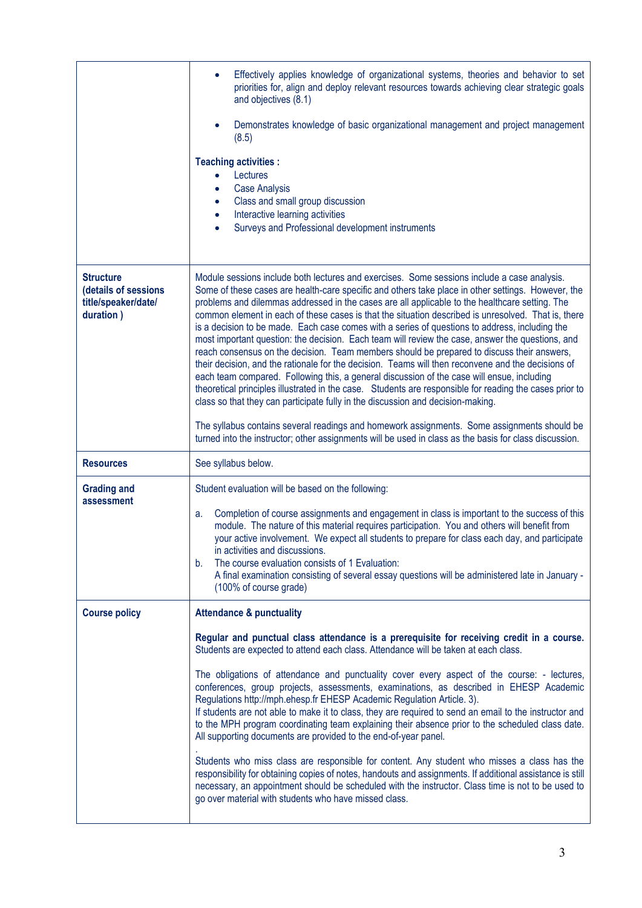|                                                                              | Effectively applies knowledge of organizational systems, theories and behavior to set<br>priorities for, align and deploy relevant resources towards achieving clear strategic goals<br>and objectives (8.1)                                                                                                                                                                                                                                                                                                                                                                                                                                                                                                                                                                                                                                                                                                                                                                                                                                                                                                                                                                                                    |
|------------------------------------------------------------------------------|-----------------------------------------------------------------------------------------------------------------------------------------------------------------------------------------------------------------------------------------------------------------------------------------------------------------------------------------------------------------------------------------------------------------------------------------------------------------------------------------------------------------------------------------------------------------------------------------------------------------------------------------------------------------------------------------------------------------------------------------------------------------------------------------------------------------------------------------------------------------------------------------------------------------------------------------------------------------------------------------------------------------------------------------------------------------------------------------------------------------------------------------------------------------------------------------------------------------|
|                                                                              | Demonstrates knowledge of basic organizational management and project management<br>(8.5)                                                                                                                                                                                                                                                                                                                                                                                                                                                                                                                                                                                                                                                                                                                                                                                                                                                                                                                                                                                                                                                                                                                       |
|                                                                              | <b>Teaching activities:</b><br>Lectures<br>$\bullet$<br><b>Case Analysis</b><br>$\bullet$<br>Class and small group discussion<br>$\bullet$<br>Interactive learning activities<br>$\bullet$<br>Surveys and Professional development instruments<br>$\bullet$                                                                                                                                                                                                                                                                                                                                                                                                                                                                                                                                                                                                                                                                                                                                                                                                                                                                                                                                                     |
| <b>Structure</b><br>(details of sessions<br>title/speaker/date/<br>duration) | Module sessions include both lectures and exercises. Some sessions include a case analysis.<br>Some of these cases are health-care specific and others take place in other settings. However, the<br>problems and dilemmas addressed in the cases are all applicable to the healthcare setting. The<br>common element in each of these cases is that the situation described is unresolved. That is, there<br>is a decision to be made. Each case comes with a series of questions to address, including the<br>most important question: the decision. Each team will review the case, answer the questions, and<br>reach consensus on the decision. Team members should be prepared to discuss their answers,<br>their decision, and the rationale for the decision. Teams will then reconvene and the decisions of<br>each team compared. Following this, a general discussion of the case will ensue, including<br>theoretical principles illustrated in the case. Students are responsible for reading the cases prior to<br>class so that they can participate fully in the discussion and decision-making.<br>The syllabus contains several readings and homework assignments. Some assignments should be |
| <b>Resources</b>                                                             | turned into the instructor; other assignments will be used in class as the basis for class discussion.                                                                                                                                                                                                                                                                                                                                                                                                                                                                                                                                                                                                                                                                                                                                                                                                                                                                                                                                                                                                                                                                                                          |
|                                                                              | See syllabus below.                                                                                                                                                                                                                                                                                                                                                                                                                                                                                                                                                                                                                                                                                                                                                                                                                                                                                                                                                                                                                                                                                                                                                                                             |
| <b>Grading and</b><br>assessment                                             | Student evaluation will be based on the following:<br>Completion of course assignments and engagement in class is important to the success of this<br>a.<br>module. The nature of this material requires participation. You and others will benefit from<br>your active involvement. We expect all students to prepare for class each day, and participate<br>in activities and discussions.<br>The course evaluation consists of 1 Evaluation:<br>b.<br>A final examination consisting of several essay questions will be administered late in January -<br>(100% of course grade)                                                                                                                                                                                                                                                                                                                                                                                                                                                                                                                                                                                                                             |
| <b>Course policy</b>                                                         | <b>Attendance &amp; punctuality</b>                                                                                                                                                                                                                                                                                                                                                                                                                                                                                                                                                                                                                                                                                                                                                                                                                                                                                                                                                                                                                                                                                                                                                                             |
|                                                                              | Regular and punctual class attendance is a prerequisite for receiving credit in a course.<br>Students are expected to attend each class. Attendance will be taken at each class.                                                                                                                                                                                                                                                                                                                                                                                                                                                                                                                                                                                                                                                                                                                                                                                                                                                                                                                                                                                                                                |
|                                                                              | The obligations of attendance and punctuality cover every aspect of the course: - lectures,<br>conferences, group projects, assessments, examinations, as described in EHESP Academic<br>Regulations http://mph.ehesp.fr EHESP Academic Regulation Article. 3).<br>If students are not able to make it to class, they are required to send an email to the instructor and<br>to the MPH program coordinating team explaining their absence prior to the scheduled class date.<br>All supporting documents are provided to the end-of-year panel.                                                                                                                                                                                                                                                                                                                                                                                                                                                                                                                                                                                                                                                                |
|                                                                              | Students who miss class are responsible for content. Any student who misses a class has the<br>responsibility for obtaining copies of notes, handouts and assignments. If additional assistance is still<br>necessary, an appointment should be scheduled with the instructor. Class time is not to be used to<br>go over material with students who have missed class.                                                                                                                                                                                                                                                                                                                                                                                                                                                                                                                                                                                                                                                                                                                                                                                                                                         |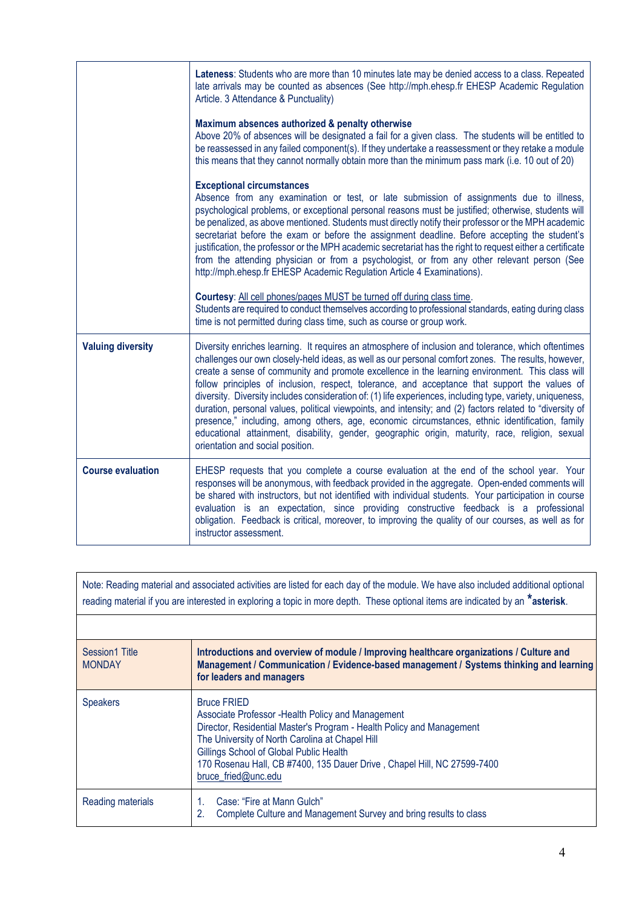|                          | Lateness: Students who are more than 10 minutes late may be denied access to a class. Repeated<br>late arrivals may be counted as absences (See http://mph.ehesp.fr EHESP Academic Regulation<br>Article. 3 Attendance & Punctuality)                                                                                                                                                                                                                                                                                                                                                                                                                                                                                                                                                                                                                                             |
|--------------------------|-----------------------------------------------------------------------------------------------------------------------------------------------------------------------------------------------------------------------------------------------------------------------------------------------------------------------------------------------------------------------------------------------------------------------------------------------------------------------------------------------------------------------------------------------------------------------------------------------------------------------------------------------------------------------------------------------------------------------------------------------------------------------------------------------------------------------------------------------------------------------------------|
|                          | Maximum absences authorized & penalty otherwise<br>Above 20% of absences will be designated a fail for a given class. The students will be entitled to<br>be reassessed in any failed component(s). If they undertake a reassessment or they retake a module<br>this means that they cannot normally obtain more than the minimum pass mark (i.e. 10 out of 20)                                                                                                                                                                                                                                                                                                                                                                                                                                                                                                                   |
|                          | <b>Exceptional circumstances</b><br>Absence from any examination or test, or late submission of assignments due to illness,<br>psychological problems, or exceptional personal reasons must be justified; otherwise, students will<br>be penalized, as above mentioned. Students must directly notify their professor or the MPH academic<br>secretariat before the exam or before the assignment deadline. Before accepting the student's<br>justification, the professor or the MPH academic secretariat has the right to request either a certificate<br>from the attending physician or from a psychologist, or from any other relevant person (See<br>http://mph.ehesp.fr EHESP Academic Regulation Article 4 Examinations).                                                                                                                                                 |
|                          | Courtesy: All cell phones/pages MUST be turned off during class time.<br>Students are required to conduct themselves according to professional standards, eating during class<br>time is not permitted during class time, such as course or group work.                                                                                                                                                                                                                                                                                                                                                                                                                                                                                                                                                                                                                           |
| <b>Valuing diversity</b> | Diversity enriches learning. It requires an atmosphere of inclusion and tolerance, which oftentimes<br>challenges our own closely-held ideas, as well as our personal comfort zones. The results, however,<br>create a sense of community and promote excellence in the learning environment. This class will<br>follow principles of inclusion, respect, tolerance, and acceptance that support the values of<br>diversity. Diversity includes consideration of: (1) life experiences, including type, variety, uniqueness,<br>duration, personal values, political viewpoints, and intensity; and (2) factors related to "diversity of<br>presence," including, among others, age, economic circumstances, ethnic identification, family<br>educational attainment, disability, gender, geographic origin, maturity, race, religion, sexual<br>orientation and social position. |
| <b>Course evaluation</b> | EHESP requests that you complete a course evaluation at the end of the school year. Your<br>responses will be anonymous, with feedback provided in the aggregate. Open-ended comments will<br>be shared with instructors, but not identified with individual students. Your participation in course<br>evaluation is an expectation, since providing constructive feedback is a professional<br>obligation. Feedback is critical, moreover, to improving the quality of our courses, as well as for<br>instructor assessment.                                                                                                                                                                                                                                                                                                                                                     |

| Note: Reading material and associated activities are listed for each day of the module. We have also included additional optional<br>reading material if you are interested in exploring a topic in more depth. These optional items are indicated by an *asterisk. |                                                                                                                                                                                                                                                                                                                                                   |
|---------------------------------------------------------------------------------------------------------------------------------------------------------------------------------------------------------------------------------------------------------------------|---------------------------------------------------------------------------------------------------------------------------------------------------------------------------------------------------------------------------------------------------------------------------------------------------------------------------------------------------|
|                                                                                                                                                                                                                                                                     |                                                                                                                                                                                                                                                                                                                                                   |
| Session1 Title<br><b>MONDAY</b>                                                                                                                                                                                                                                     | Introductions and overview of module / Improving healthcare organizations / Culture and<br>Management / Communication / Evidence-based management / Systems thinking and learning<br>for leaders and managers                                                                                                                                     |
| <b>Speakers</b>                                                                                                                                                                                                                                                     | <b>Bruce FRIED</b><br>Associate Professor - Health Policy and Management<br>Director, Residential Master's Program - Health Policy and Management<br>The University of North Carolina at Chapel Hill<br>Gillings School of Global Public Health<br>170 Rosenau Hall, CB #7400, 135 Dauer Drive, Chapel Hill, NC 27599-7400<br>bruce_fried@unc.edu |
| Reading materials                                                                                                                                                                                                                                                   | Case: "Fire at Mann Gulch"<br>Complete Culture and Management Survey and bring results to class<br>2.                                                                                                                                                                                                                                             |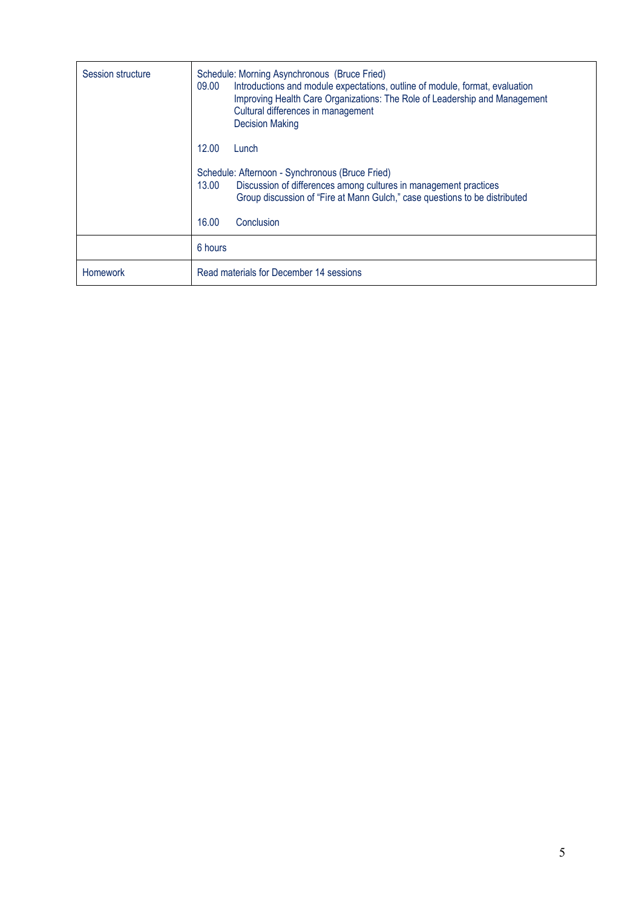| Session structure | Schedule: Morning Asynchronous (Bruce Fried)<br>Introductions and module expectations, outline of module, format, evaluation<br>09.00<br>Improving Health Care Organizations: The Role of Leadership and Management<br>Cultural differences in management<br><b>Decision Making</b> |
|-------------------|-------------------------------------------------------------------------------------------------------------------------------------------------------------------------------------------------------------------------------------------------------------------------------------|
|                   | 12.00<br>Lunch                                                                                                                                                                                                                                                                      |
|                   | Schedule: Afternoon - Synchronous (Bruce Fried)<br>Discussion of differences among cultures in management practices<br>13.00<br>Group discussion of "Fire at Mann Gulch," case questions to be distributed                                                                          |
|                   | 16.00<br>Conclusion                                                                                                                                                                                                                                                                 |
|                   | 6 hours                                                                                                                                                                                                                                                                             |
| Homework          | Read materials for December 14 sessions                                                                                                                                                                                                                                             |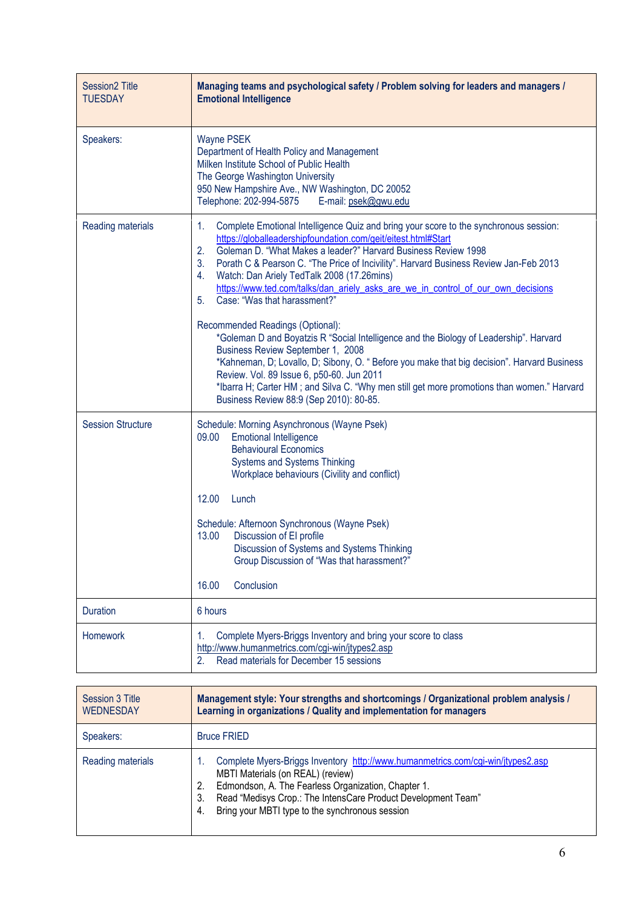| <b>Session2 Title</b><br><b>TUESDAY</b> | Managing teams and psychological safety / Problem solving for leaders and managers /<br><b>Emotional Intelligence</b>                                                                                                                                                                                                                                                                                                                                                                                                                                                                                                                                                                                                                                                                                                                                                                                                                                                     |
|-----------------------------------------|---------------------------------------------------------------------------------------------------------------------------------------------------------------------------------------------------------------------------------------------------------------------------------------------------------------------------------------------------------------------------------------------------------------------------------------------------------------------------------------------------------------------------------------------------------------------------------------------------------------------------------------------------------------------------------------------------------------------------------------------------------------------------------------------------------------------------------------------------------------------------------------------------------------------------------------------------------------------------|
| Speakers:                               | <b>Wayne PSEK</b><br>Department of Health Policy and Management<br>Milken Institute School of Public Health<br>The George Washington University<br>950 New Hampshire Ave., NW Washington, DC 20052<br>Telephone: 202-994-5875<br>E-mail: psek@gwu.edu                                                                                                                                                                                                                                                                                                                                                                                                                                                                                                                                                                                                                                                                                                                     |
| Reading materials                       | Complete Emotional Intelligence Quiz and bring your score to the synchronous session:<br>1.<br>https://globalleadershipfoundation.com/geit/eitest.html#Start<br>Goleman D. "What Makes a leader?" Harvard Business Review 1998<br>2.<br>3.<br>Porath C & Pearson C. "The Price of Incivility". Harvard Business Review Jan-Feb 2013<br>Watch: Dan Ariely TedTalk 2008 (17.26mins)<br>4.<br>https://www.ted.com/talks/dan_ariely_asks_are_we_in_control_of_our_own_decisions<br>Case: "Was that harassment?"<br>5.<br>Recommended Readings (Optional):<br>*Goleman D and Boyatzis R "Social Intelligence and the Biology of Leadership". Harvard<br>Business Review September 1, 2008<br>*Kahneman, D; Lovallo, D; Sibony, O. " Before you make that big decision". Harvard Business<br>Review. Vol. 89 Issue 6, p50-60. Jun 2011<br>*Ibarra H; Carter HM; and Silva C. "Why men still get more promotions than women." Harvard<br>Business Review 88:9 (Sep 2010): 80-85. |
| <b>Session Structure</b>                | Schedule: Morning Asynchronous (Wayne Psek)<br>09.00<br><b>Emotional Intelligence</b><br><b>Behavioural Economics</b><br>Systems and Systems Thinking<br>Workplace behaviours (Civility and conflict)<br>12.00<br>Lunch<br>Schedule: Afternoon Synchronous (Wayne Psek)<br>13.00<br>Discussion of El profile<br>Discussion of Systems and Systems Thinking<br>Group Discussion of "Was that harassment?"<br>Conclusion<br>16.00                                                                                                                                                                                                                                                                                                                                                                                                                                                                                                                                           |
| Duration                                | 6 hours                                                                                                                                                                                                                                                                                                                                                                                                                                                                                                                                                                                                                                                                                                                                                                                                                                                                                                                                                                   |
| Homework                                | Complete Myers-Briggs Inventory and bring your score to class<br>1.<br>http://www.humanmetrics.com/cgi-win/jtypes2.asp<br>Read materials for December 15 sessions<br>2.                                                                                                                                                                                                                                                                                                                                                                                                                                                                                                                                                                                                                                                                                                                                                                                                   |

| Session 3 Title<br><b>WEDNESDAY</b> | Management style: Your strengths and shortcomings / Organizational problem analysis /<br>Learning in organizations / Quality and implementation for managers                                                                                                                                                      |
|-------------------------------------|-------------------------------------------------------------------------------------------------------------------------------------------------------------------------------------------------------------------------------------------------------------------------------------------------------------------|
| Speakers:                           | <b>Bruce FRIED</b>                                                                                                                                                                                                                                                                                                |
| Reading materials                   | Complete Myers-Briggs Inventory http://www.humanmetrics.com/cgi-win/jtypes2.asp<br>MBTI Materials (on REAL) (review)<br>Edmondson, A. The Fearless Organization, Chapter 1.<br>2.<br>Read "Medisys Crop.: The IntensCare Product Development Team"<br>3.<br>Bring your MBTI type to the synchronous session<br>4. |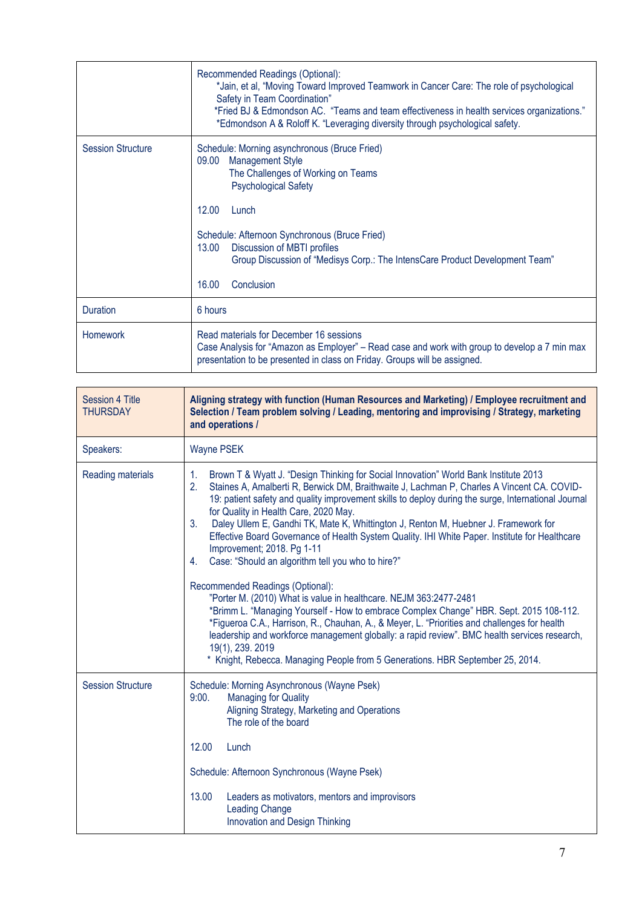|                          | Recommended Readings (Optional):<br>*Jain, et al, "Moving Toward Improved Teamwork in Cancer Care: The role of psychological<br>Safety in Team Coordination"<br>*Fried BJ & Edmondson AC. "Teams and team effectiveness in health services organizations."<br>*Edmondson A & Roloff K. "Leveraging diversity through psychological safety. |
|--------------------------|--------------------------------------------------------------------------------------------------------------------------------------------------------------------------------------------------------------------------------------------------------------------------------------------------------------------------------------------|
| <b>Session Structure</b> | Schedule: Morning asynchronous (Bruce Fried)<br><b>Management Style</b><br>09.00<br>The Challenges of Working on Teams<br><b>Psychological Safety</b>                                                                                                                                                                                      |
|                          | 12.00<br>Lunch<br>Schedule: Afternoon Synchronous (Bruce Fried)<br>Discussion of MBTI profiles<br>13.00<br>Group Discussion of "Medisys Corp.: The IntensCare Product Development Team"<br>16.00<br>Conclusion                                                                                                                             |
| Duration                 | 6 hours                                                                                                                                                                                                                                                                                                                                    |
| <b>Homework</b>          | Read materials for December 16 sessions<br>Case Analysis for "Amazon as Employer" – Read case and work with group to develop a 7 min max<br>presentation to be presented in class on Friday. Groups will be assigned.                                                                                                                      |

| Session 4 Title<br><b>THURSDAY</b> | Aligning strategy with function (Human Resources and Marketing) / Employee recruitment and<br>Selection / Team problem solving / Leading, mentoring and improvising / Strategy, marketing<br>and operations /                                                                                                                                                                                                                                                                                                                                                                                                                                                                                                                                                                                                                                                                                                                                                                                                                                                                                                                                               |
|------------------------------------|-------------------------------------------------------------------------------------------------------------------------------------------------------------------------------------------------------------------------------------------------------------------------------------------------------------------------------------------------------------------------------------------------------------------------------------------------------------------------------------------------------------------------------------------------------------------------------------------------------------------------------------------------------------------------------------------------------------------------------------------------------------------------------------------------------------------------------------------------------------------------------------------------------------------------------------------------------------------------------------------------------------------------------------------------------------------------------------------------------------------------------------------------------------|
| Speakers:                          | <b>Wayne PSEK</b>                                                                                                                                                                                                                                                                                                                                                                                                                                                                                                                                                                                                                                                                                                                                                                                                                                                                                                                                                                                                                                                                                                                                           |
| Reading materials                  | Brown T & Wyatt J. "Design Thinking for Social Innovation" World Bank Institute 2013<br>1.<br>2.<br>Staines A, Amalberti R, Berwick DM, Braithwaite J, Lachman P, Charles A Vincent CA. COVID-<br>19: patient safety and quality improvement skills to deploy during the surge, International Journal<br>for Quality in Health Care, 2020 May.<br>3 <sub>1</sub><br>Daley Ullem E, Gandhi TK, Mate K, Whittington J, Renton M, Huebner J. Framework for<br>Effective Board Governance of Health System Quality. IHI White Paper. Institute for Healthcare<br>Improvement; 2018. Pg 1-11<br>Case: "Should an algorithm tell you who to hire?"<br>4.<br>Recommended Readings (Optional):<br>"Porter M. (2010) What is value in healthcare. NEJM 363:2477-2481<br>*Brimm L. "Managing Yourself - How to embrace Complex Change" HBR. Sept. 2015 108-112.<br>*Figueroa C.A., Harrison, R., Chauhan, A., & Meyer, L. "Priorities and challenges for health<br>leadership and workforce management globally: a rapid review". BMC health services research,<br>19(1), 239. 2019<br>* Knight, Rebecca. Managing People from 5 Generations. HBR September 25, 2014. |
| <b>Session Structure</b>           | Schedule: Morning Asynchronous (Wayne Psek)<br><b>Managing for Quality</b><br>9:00.<br>Aligning Strategy, Marketing and Operations<br>The role of the board<br>12.00<br>Lunch<br>Schedule: Afternoon Synchronous (Wayne Psek)<br>13.00<br>Leaders as motivators, mentors and improvisors<br><b>Leading Change</b><br>Innovation and Design Thinking                                                                                                                                                                                                                                                                                                                                                                                                                                                                                                                                                                                                                                                                                                                                                                                                         |